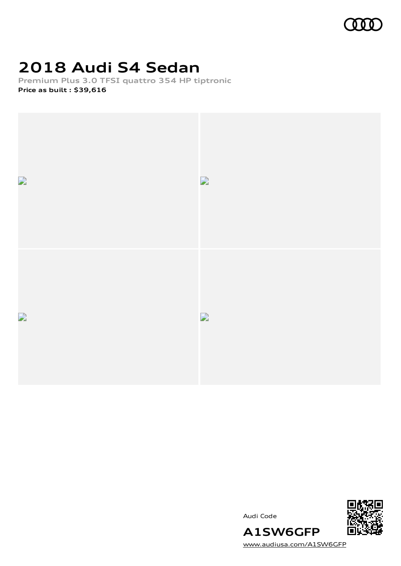

# **2018 Audi S4 Sedan**

**Premium Plus 3.0 TFSI quattro 354 HP tiptronic Price as built [:](#page-8-0) \$39,616**



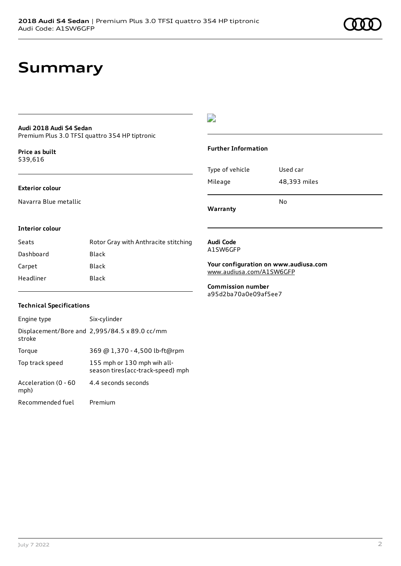## **Summary**

## **Audi 2018 Audi S4 Sedan**

Premium Plus 3.0 TFSI quattro 354 HP tiptronic

**Price as buil[t](#page-8-0)** \$39,616

#### **Exterior colour**

Navarra Blue metallic

## $\overline{\phantom{a}}$

### **Further Information**

| Warranty        | N٥           |
|-----------------|--------------|
| Mileage         | 48,393 miles |
| Type of vehicle | Used car     |

#### **Interior colour**

| Seats     | Rotor Gray with Anthracite stitching |
|-----------|--------------------------------------|
| Dashboard | Black                                |
| Carpet    | Black                                |
| Headliner | Black                                |

#### **Audi Code** A1SW6GFP

**Your configuration on www.audiusa.com** [www.audiusa.com/A1SW6GFP](https://www.audiusa.com/A1SW6GFP)

**Commission number** a95d2ba70a0e09af5ee7

### **Technical Specifications**

| Engine type                  | Six-cylinder                                                     |
|------------------------------|------------------------------------------------------------------|
| stroke                       | Displacement/Bore and 2,995/84.5 x 89.0 cc/mm                    |
| Torque                       | 369 @ 1,370 - 4,500 lb-ft@rpm                                    |
| Top track speed              | 155 mph or 130 mph wih all-<br>season tires{acc-track-speed} mph |
| Acceleration (0 - 60<br>mph) | 4.4 seconds seconds                                              |
| Recommended fuel             | Premium                                                          |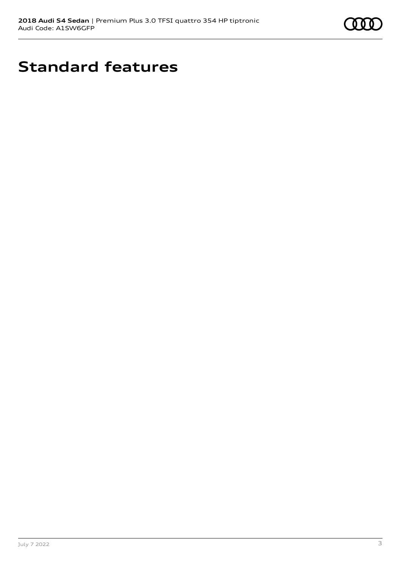

# **Standard features**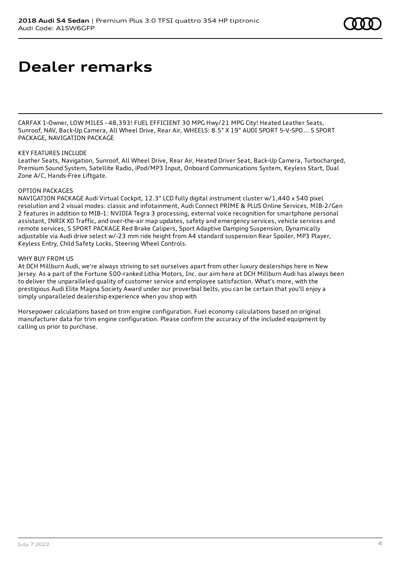# **Dealer remarks**

CARFAX 1-Owner, LOW MILES - 48,393! FUEL EFFICIENT 30 MPG Hwy/21 MPG City! Heated Leather Seats, Sunroof, NAV, Back-Up Camera, All Wheel Drive, Rear Air, WHEELS: 8.5" X 19" AUDI SPORT 5-V-SPO... S SPORT PACKAGE, NAVIGATION PACKAGE

### KEY FEATURES INCLUDE

Leather Seats, Navigation, Sunroof, All Wheel Drive, Rear Air, Heated Driver Seat, Back-Up Camera, Turbocharged, Premium Sound System, Satellite Radio, iPod/MP3 Input, Onboard Communications System, Keyless Start, Dual Zone A/C, Hands-Free Liftgate.

#### OPTION PACKAGES

NAVIGATION PACKAGE Audi Virtual Cockpit, 12.3" LCD fully digital instrument cluster w/1,440 x 540 pixel resolution and 2 visual modes: classic and infotainment, Audi Connect PRIME & PLUS Online Services, MIB-2/Gen 2 features in addition to MIB-1: NVIDIA Tegra 3 processing, external voice recognition for smartphone personal assistant, INRIX XD Traffic, and over-the-air map updates, safety and emergency services, vehicle services and remote services, S SPORT PACKAGE Red Brake Calipers, Sport Adaptive Damping Suspension, Dynamically adjustable via Audi drive select w/-23 mm ride height from A4 standard suspension Rear Spoiler, MP3 Player, Keyless Entry, Child Safety Locks, Steering Wheel Controls.

#### WHY BUY FROM US

At DCH Millburn Audi, we're always striving to set ourselves apart from other luxury dealerships here in New Jersey. As a part of the Fortune 500-ranked Lithia Motors, Inc. our aim here at DCH Millburn Audi has always been to deliver the unparalleled quality of customer service and employee satisfaction. What's more, with the prestigious Audi Elite Magna Society Award under our proverbial belts, you can be certain that you'll enjoy a simply unparalleled dealership experience when you shop with

Horsepower calculations based on trim engine configuration. Fuel economy calculations based on original manufacturer data for trim engine configuration. Please confirm the accuracy of the included equipment by calling us prior to purchase.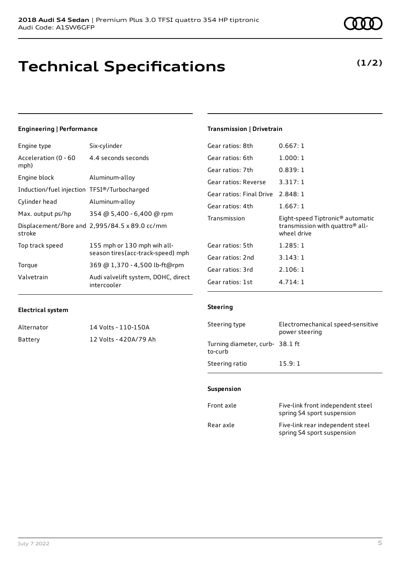## **Technical Specifications**

## **Engineering | Performance**

| Engine type                                 | Six-cylinder                                                     |
|---------------------------------------------|------------------------------------------------------------------|
| Acceleration (0 - 60<br>mph)                | 4.4 seconds seconds                                              |
| Engine block                                | Aluminum-alloy                                                   |
| Induction/fuel injection TFSI®/Turbocharged |                                                                  |
| Cylinder head                               | Aluminum-alloy                                                   |
| Max. output ps/hp                           | 354 @ 5,400 - 6,400 @ rpm                                        |
| stroke                                      | Displacement/Bore and 2,995/84.5 x 89.0 cc/mm                    |
| Top track speed                             | 155 mph or 130 mph wih all-<br>season tires{acc-track-speed} mph |
| Torque                                      | 369 @ 1,370 - 4,500 lb-ft@rpm                                    |
| Valvetrain                                  | Audi valvelift system, DOHC, direct<br>intercooler               |

## **Transmission | Drivetrain**

| Gear ratios: 8th         | 0.667:1                                                                                                    |
|--------------------------|------------------------------------------------------------------------------------------------------------|
| Gear ratios: 6th         | 1.000:1                                                                                                    |
| Gear ratios: 7th         | 0.839:1                                                                                                    |
| Gear ratios: Reverse     | 3.317:1                                                                                                    |
| Gear ratios: Final Drive | 2.848:1                                                                                                    |
| Gear ratios: 4th         | 1.667:1                                                                                                    |
|                          |                                                                                                            |
| Transmission             | Eight-speed Tiptronic <sup>®</sup> automatic<br>transmission with quattro <sup>®</sup> all-<br>wheel drive |
| Gear ratios: 5th         | 1.285:1                                                                                                    |
| Gear ratios: 2nd         | 3.143:1                                                                                                    |
| Gear ratios: 3rd         | 2.106:1                                                                                                    |

### **Electrical system**

| Alternator | 14 Volts - 110-150A   |
|------------|-----------------------|
| Battery    | 12 Volts - 420A/79 Ah |

## **Steering**

| Steering type                             | Electromechanical speed-sensitive<br>power steering |
|-------------------------------------------|-----------------------------------------------------|
| Turning diameter, curb-38.1 ft<br>to-curb |                                                     |
| Steering ratio                            | 15.9:1                                              |

### **Suspension**

| Front axle | Five-link front independent steel<br>spring S4 sport suspension |
|------------|-----------------------------------------------------------------|
| Rear axle  | Five-link rear independent steel<br>spring S4 sport suspension  |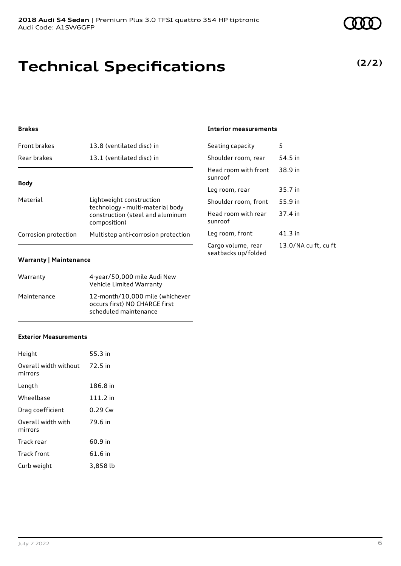## **Technical Specifications**

## **Brakes**

| <b>Front brakes</b>  | 13.8 (ventilated disc) in                                                                                        |
|----------------------|------------------------------------------------------------------------------------------------------------------|
| Rear brakes          | 13.1 (ventilated disc) in                                                                                        |
|                      |                                                                                                                  |
| <b>Body</b>          |                                                                                                                  |
| Material             | Lightweight construction<br>technology - multi-material body<br>construction (steel and aluminum<br>composition) |
| Corrosion protection | Multistep anti-corrosion protection                                                                              |

## **Warranty | Maintenance**

| Warranty    | 4-year/50,000 mile Audi New<br>Vehicle Limited Warranty                                   |
|-------------|-------------------------------------------------------------------------------------------|
| Maintenance | 12-month/10.000 mile (whichever<br>occurs first) NO CHARGE first<br>scheduled maintenance |

## **Exterior Measurements**

| Height                           | 55.3 in  |
|----------------------------------|----------|
| Overall width without<br>mirrors | 72.5 in  |
| Length                           | 186.8 in |
| Wheelbase                        | 111.2 in |
| Drag coefficient                 | 0.29 Cw  |
| Overall width with<br>mirrors    | 79.6 in  |
| Track rear                       | 60.9 in  |
| Track front                      | 61.6 in  |
| Curb weight                      | 3,858 lb |

## **Interior measurements**

| Seating capacity                          | 5                    |
|-------------------------------------------|----------------------|
| Shoulder room, rear                       | 54.5 in              |
| Head room with front<br>sunroof           | 38.9 in              |
| Leg room, rear                            | 35.7 in              |
| Shoulder room, front                      | 55.9 in              |
| Head room with rear<br>sunroof            | 37.4 in              |
| Leg room, front                           | $41.3$ in            |
| Cargo volume, rear<br>seatbacks up/folded | 13.0/NA cu ft, cu ft |

**(2/2)**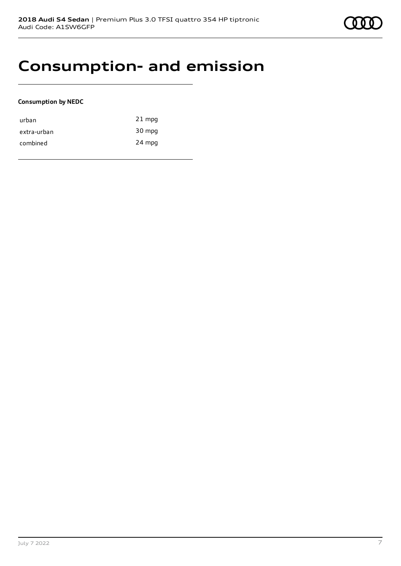## **Consumption- and emission**

### **Consumption by NEDC**

| urban       | $21$ mpg |
|-------------|----------|
| extra-urban | 30 mpg   |
| combined    | 24 mpg   |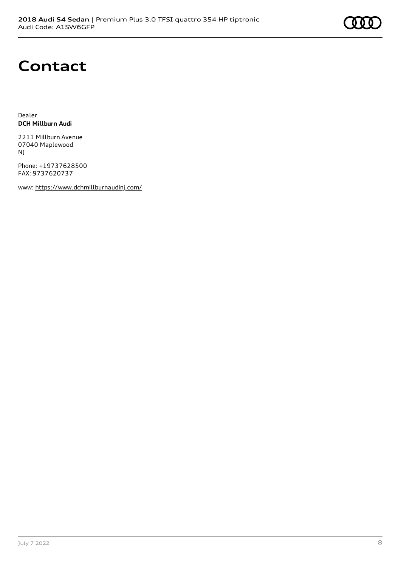# **Contact**

Dealer **DCH Millburn Audi**

2211 Millburn Avenue 07040 Maplewood NJ

Phone: +19737628500 FAX: 9737620737

www: <https://www.dchmillburnaudinj.com/>